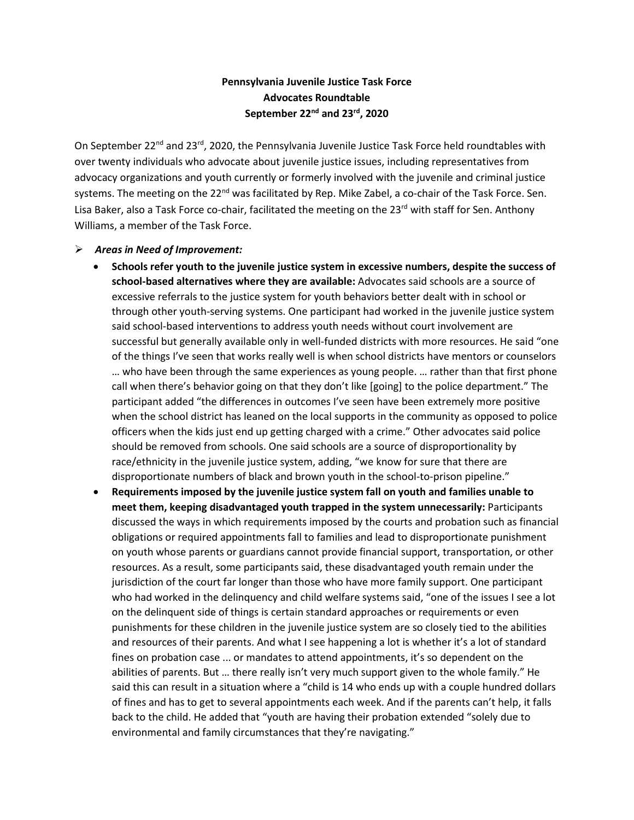## **Pennsylvania Juvenile Justice Task Force Advocates Roundtable September 22 nd and 23rd, 2020**

On September 22<sup>nd</sup> and 23<sup>rd</sup>, 2020, the Pennsylvania Juvenile Justice Task Force held roundtables with over twenty individuals who advocate about juvenile justice issues, including representatives from advocacy organizations and youth currently or formerly involved with the juvenile and criminal justice systems. The meeting on the 22<sup>nd</sup> was facilitated by Rep. Mike Zabel, a co-chair of the Task Force. Sen. Lisa Baker, also a Task Force co-chair, facilitated the meeting on the  $23<sup>rd</sup>$  with staff for Sen. Anthony Williams, a member of the Task Force.

## ➢ *Areas in Need of Improvement:*

- **Schools refer youth to the juvenile justice system in excessive numbers, despite the success of school-based alternatives where they are available:** Advocates said schools are a source of excessive referrals to the justice system for youth behaviors better dealt with in school or through other youth-serving systems. One participant had worked in the juvenile justice system said school-based interventions to address youth needs without court involvement are successful but generally available only in well-funded districts with more resources. He said "one of the things I've seen that works really well is when school districts have mentors or counselors … who have been through the same experiences as young people. … rather than that first phone call when there's behavior going on that they don't like [going] to the police department." The participant added "the differences in outcomes I've seen have been extremely more positive when the school district has leaned on the local supports in the community as opposed to police officers when the kids just end up getting charged with a crime." Other advocates said police should be removed from schools. One said schools are a source of disproportionality by race/ethnicity in the juvenile justice system, adding, "we know for sure that there are disproportionate numbers of black and brown youth in the school-to-prison pipeline."
- **Requirements imposed by the juvenile justice system fall on youth and families unable to meet them, keeping disadvantaged youth trapped in the system unnecessarily:** Participants discussed the ways in which requirements imposed by the courts and probation such as financial obligations or required appointments fall to families and lead to disproportionate punishment on youth whose parents or guardians cannot provide financial support, transportation, or other resources. As a result, some participants said, these disadvantaged youth remain under the jurisdiction of the court far longer than those who have more family support. One participant who had worked in the delinquency and child welfare systems said, "one of the issues I see a lot on the delinquent side of things is certain standard approaches or requirements or even punishments for these children in the juvenile justice system are so closely tied to the abilities and resources of their parents. And what I see happening a lot is whether it's a lot of standard fines on probation case ... or mandates to attend appointments, it's so dependent on the abilities of parents. But … there really isn't very much support given to the whole family." He said this can result in a situation where a "child is 14 who ends up with a couple hundred dollars of fines and has to get to several appointments each week. And if the parents can't help, it falls back to the child. He added that "youth are having their probation extended "solely due to environmental and family circumstances that they're navigating."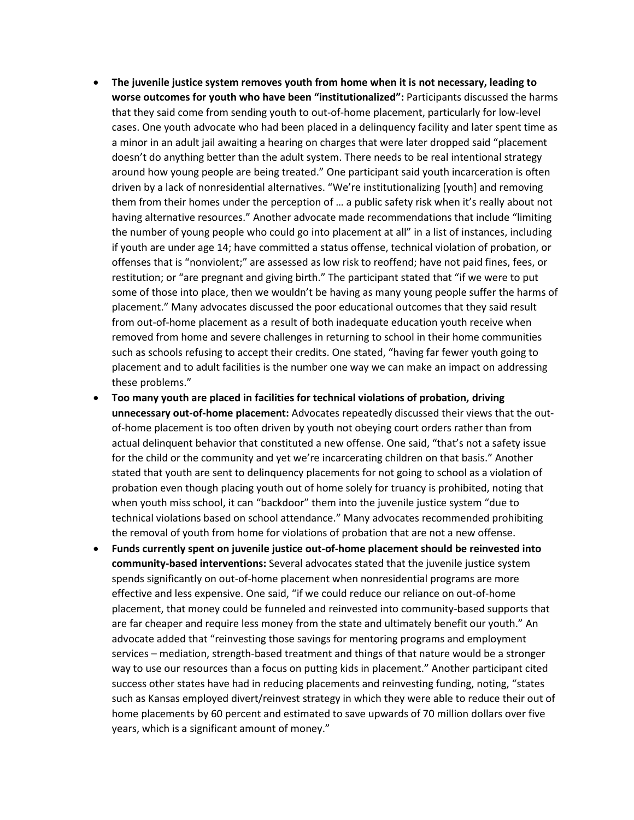- **The juvenile justice system removes youth from home when it is not necessary, leading to worse outcomes for youth who have been "institutionalized":** Participants discussed the harms that they said come from sending youth to out-of-home placement, particularly for low-level cases. One youth advocate who had been placed in a delinquency facility and later spent time as a minor in an adult jail awaiting a hearing on charges that were later dropped said "placement doesn't do anything better than the adult system. There needs to be real intentional strategy around how young people are being treated." One participant said youth incarceration is often driven by a lack of nonresidential alternatives. "We're institutionalizing [youth] and removing them from their homes under the perception of … a public safety risk when it's really about not having alternative resources." Another advocate made recommendations that include "limiting the number of young people who could go into placement at all" in a list of instances, including if youth are under age 14; have committed a status offense, technical violation of probation, or offenses that is "nonviolent;" are assessed as low risk to reoffend; have not paid fines, fees, or restitution; or "are pregnant and giving birth." The participant stated that "if we were to put some of those into place, then we wouldn't be having as many young people suffer the harms of placement." Many advocates discussed the poor educational outcomes that they said result from out-of-home placement as a result of both inadequate education youth receive when removed from home and severe challenges in returning to school in their home communities such as schools refusing to accept their credits. One stated, "having far fewer youth going to placement and to adult facilities is the number one way we can make an impact on addressing these problems."
- **Too many youth are placed in facilities for technical violations of probation, driving unnecessary out-of-home placement:** Advocates repeatedly discussed their views that the outof-home placement is too often driven by youth not obeying court orders rather than from actual delinquent behavior that constituted a new offense. One said, "that's not a safety issue for the child or the community and yet we're incarcerating children on that basis." Another stated that youth are sent to delinquency placements for not going to school as a violation of probation even though placing youth out of home solely for truancy is prohibited, noting that when youth miss school, it can "backdoor" them into the juvenile justice system "due to technical violations based on school attendance." Many advocates recommended prohibiting the removal of youth from home for violations of probation that are not a new offense.
- **Funds currently spent on juvenile justice out-of-home placement should be reinvested into community-based interventions:** Several advocates stated that the juvenile justice system spends significantly on out-of-home placement when nonresidential programs are more effective and less expensive. One said, "if we could reduce our reliance on out-of-home placement, that money could be funneled and reinvested into community-based supports that are far cheaper and require less money from the state and ultimately benefit our youth." An advocate added that "reinvesting those savings for mentoring programs and employment services – mediation, strength-based treatment and things of that nature would be a stronger way to use our resources than a focus on putting kids in placement." Another participant cited success other states have had in reducing placements and reinvesting funding, noting, "states such as Kansas employed divert/reinvest strategy in which they were able to reduce their out of home placements by 60 percent and estimated to save upwards of 70 million dollars over five years, which is a significant amount of money."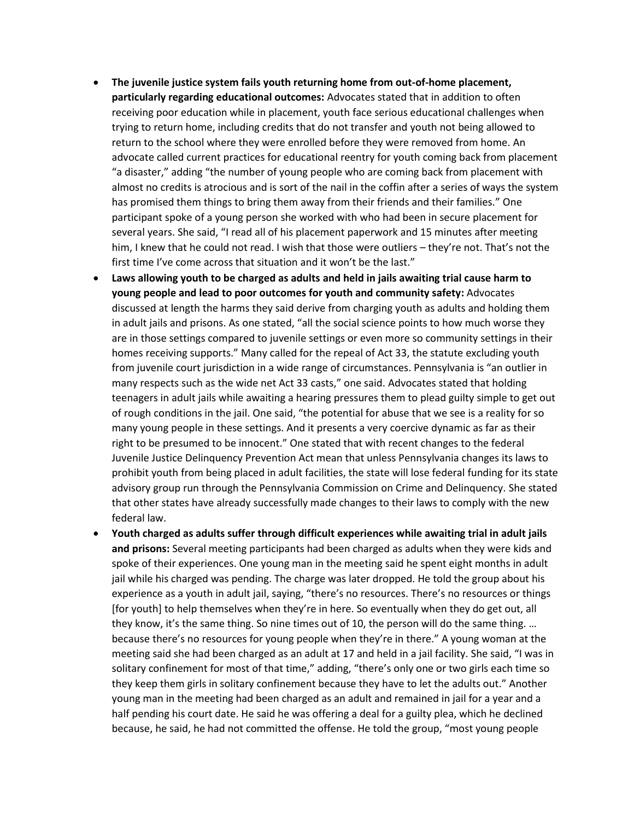- **The juvenile justice system fails youth returning home from out-of-home placement, particularly regarding educational outcomes:** Advocates stated that in addition to often receiving poor education while in placement, youth face serious educational challenges when trying to return home, including credits that do not transfer and youth not being allowed to return to the school where they were enrolled before they were removed from home. An advocate called current practices for educational reentry for youth coming back from placement "a disaster," adding "the number of young people who are coming back from placement with almost no credits is atrocious and is sort of the nail in the coffin after a series of ways the system has promised them things to bring them away from their friends and their families." One participant spoke of a young person she worked with who had been in secure placement for several years. She said, "I read all of his placement paperwork and 15 minutes after meeting him, I knew that he could not read. I wish that those were outliers – they're not. That's not the first time I've come across that situation and it won't be the last."
- **Laws allowing youth to be charged as adults and held in jails awaiting trial cause harm to young people and lead to poor outcomes for youth and community safety:** Advocates discussed at length the harms they said derive from charging youth as adults and holding them in adult jails and prisons. As one stated, "all the social science points to how much worse they are in those settings compared to juvenile settings or even more so community settings in their homes receiving supports." Many called for the repeal of Act 33, the statute excluding youth from juvenile court jurisdiction in a wide range of circumstances. Pennsylvania is "an outlier in many respects such as the wide net Act 33 casts," one said. Advocates stated that holding teenagers in adult jails while awaiting a hearing pressures them to plead guilty simple to get out of rough conditions in the jail. One said, "the potential for abuse that we see is a reality for so many young people in these settings. And it presents a very coercive dynamic as far as their right to be presumed to be innocent." One stated that with recent changes to the federal Juvenile Justice Delinquency Prevention Act mean that unless Pennsylvania changes its laws to prohibit youth from being placed in adult facilities, the state will lose federal funding for its state advisory group run through the Pennsylvania Commission on Crime and Delinquency. She stated that other states have already successfully made changes to their laws to comply with the new federal law.
- **Youth charged as adults suffer through difficult experiences while awaiting trial in adult jails and prisons:** Several meeting participants had been charged as adults when they were kids and spoke of their experiences. One young man in the meeting said he spent eight months in adult jail while his charged was pending. The charge was later dropped. He told the group about his experience as a youth in adult jail, saying, "there's no resources. There's no resources or things [for youth] to help themselves when they're in here. So eventually when they do get out, all they know, it's the same thing. So nine times out of 10, the person will do the same thing. ... because there's no resources for young people when they're in there." A young woman at the meeting said she had been charged as an adult at 17 and held in a jail facility. She said, "I was in solitary confinement for most of that time," adding, "there's only one or two girls each time so they keep them girls in solitary confinement because they have to let the adults out." Another young man in the meeting had been charged as an adult and remained in jail for a year and a half pending his court date. He said he was offering a deal for a guilty plea, which he declined because, he said, he had not committed the offense. He told the group, "most young people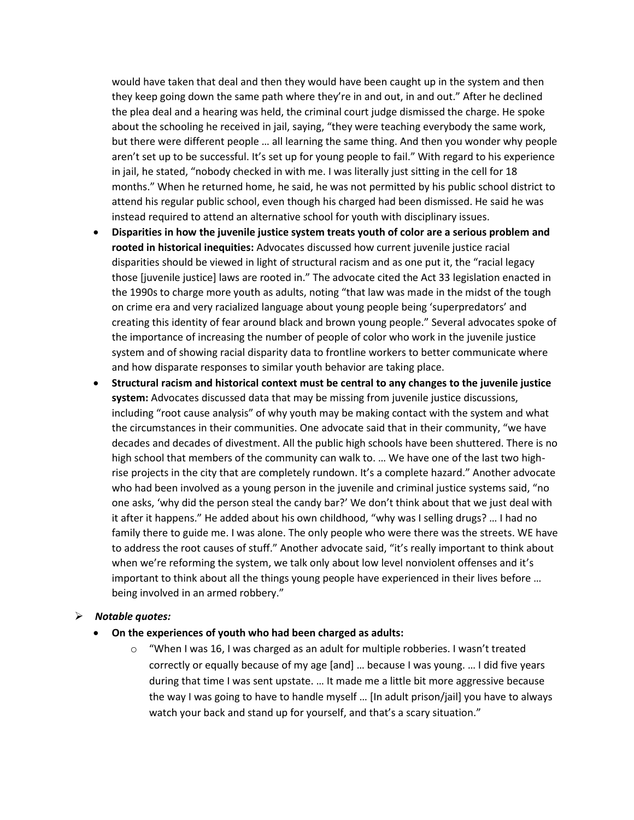would have taken that deal and then they would have been caught up in the system and then they keep going down the same path where they're in and out, in and out." After he declined the plea deal and a hearing was held, the criminal court judge dismissed the charge. He spoke about the schooling he received in jail, saying, "they were teaching everybody the same work, but there were different people … all learning the same thing. And then you wonder why people aren't set up to be successful. It's set up for young people to fail." With regard to his experience in jail, he stated, "nobody checked in with me. I was literally just sitting in the cell for 18 months." When he returned home, he said, he was not permitted by his public school district to attend his regular public school, even though his charged had been dismissed. He said he was instead required to attend an alternative school for youth with disciplinary issues.

- **Disparities in how the juvenile justice system treats youth of color are a serious problem and rooted in historical inequities:** Advocates discussed how current juvenile justice racial disparities should be viewed in light of structural racism and as one put it, the "racial legacy those [juvenile justice] laws are rooted in." The advocate cited the Act 33 legislation enacted in the 1990s to charge more youth as adults, noting "that law was made in the midst of the tough on crime era and very racialized language about young people being 'superpredators' and creating this identity of fear around black and brown young people." Several advocates spoke of the importance of increasing the number of people of color who work in the juvenile justice system and of showing racial disparity data to frontline workers to better communicate where and how disparate responses to similar youth behavior are taking place.
- **Structural racism and historical context must be central to any changes to the juvenile justice system:** Advocates discussed data that may be missing from juvenile justice discussions, including "root cause analysis" of why youth may be making contact with the system and what the circumstances in their communities. One advocate said that in their community, "we have decades and decades of divestment. All the public high schools have been shuttered. There is no high school that members of the community can walk to. … We have one of the last two highrise projects in the city that are completely rundown. It's a complete hazard." Another advocate who had been involved as a young person in the juvenile and criminal justice systems said, "no one asks, 'why did the person steal the candy bar?' We don't think about that we just deal with it after it happens." He added about his own childhood, "why was I selling drugs? … I had no family there to guide me. I was alone. The only people who were there was the streets. WE have to address the root causes of stuff." Another advocate said, "it's really important to think about when we're reforming the system, we talk only about low level nonviolent offenses and it's important to think about all the things young people have experienced in their lives before … being involved in an armed robbery."

## ➢ *Notable quotes:*

- **On the experiences of youth who had been charged as adults:**
	- $\circ$  "When I was 16, I was charged as an adult for multiple robberies. I wasn't treated correctly or equally because of my age [and] … because I was young. … I did five years during that time I was sent upstate. … It made me a little bit more aggressive because the way I was going to have to handle myself … [In adult prison/jail] you have to always watch your back and stand up for yourself, and that's a scary situation."